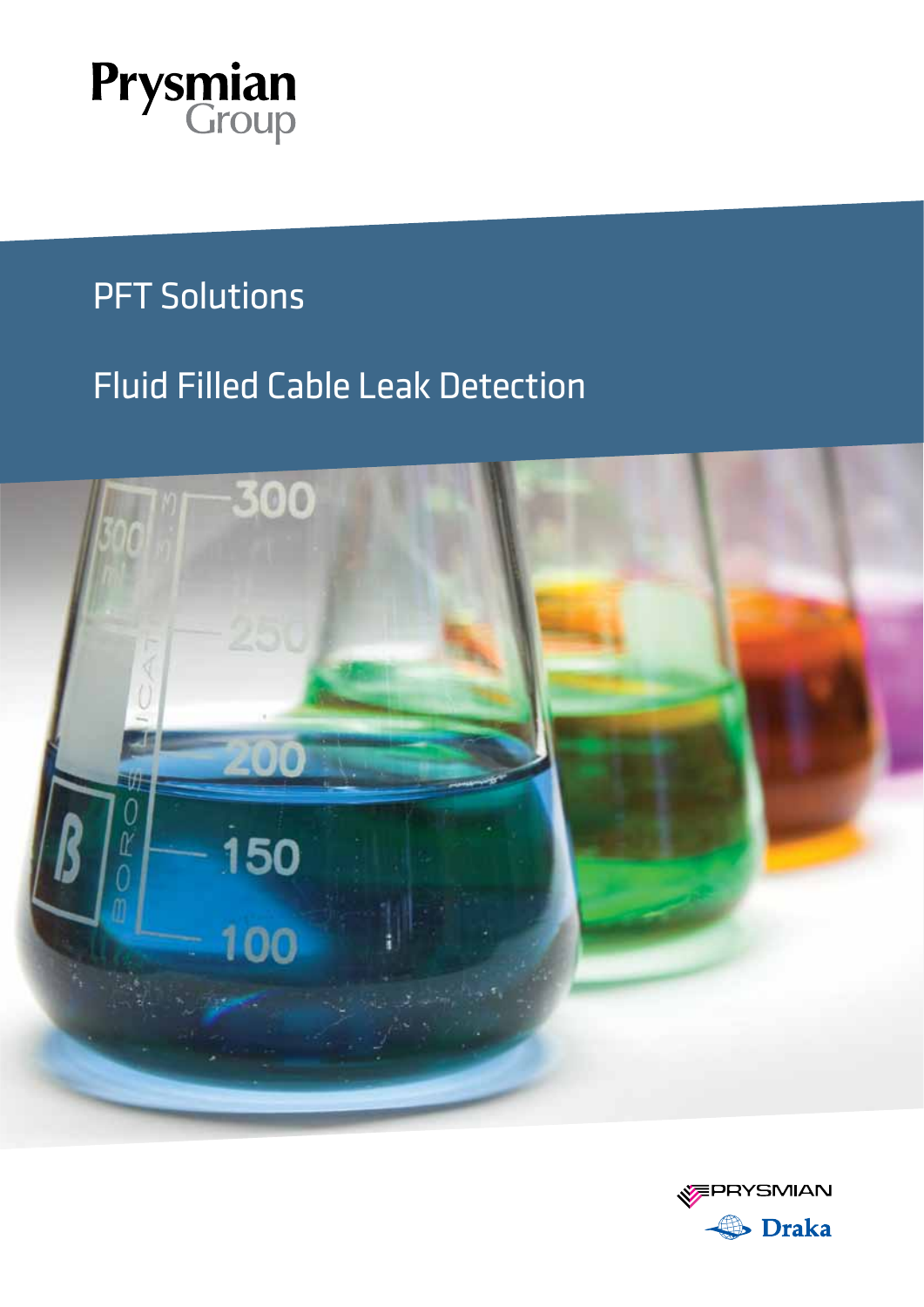

### PFT Solutions

### Fluid Filled Cable Leak Detection



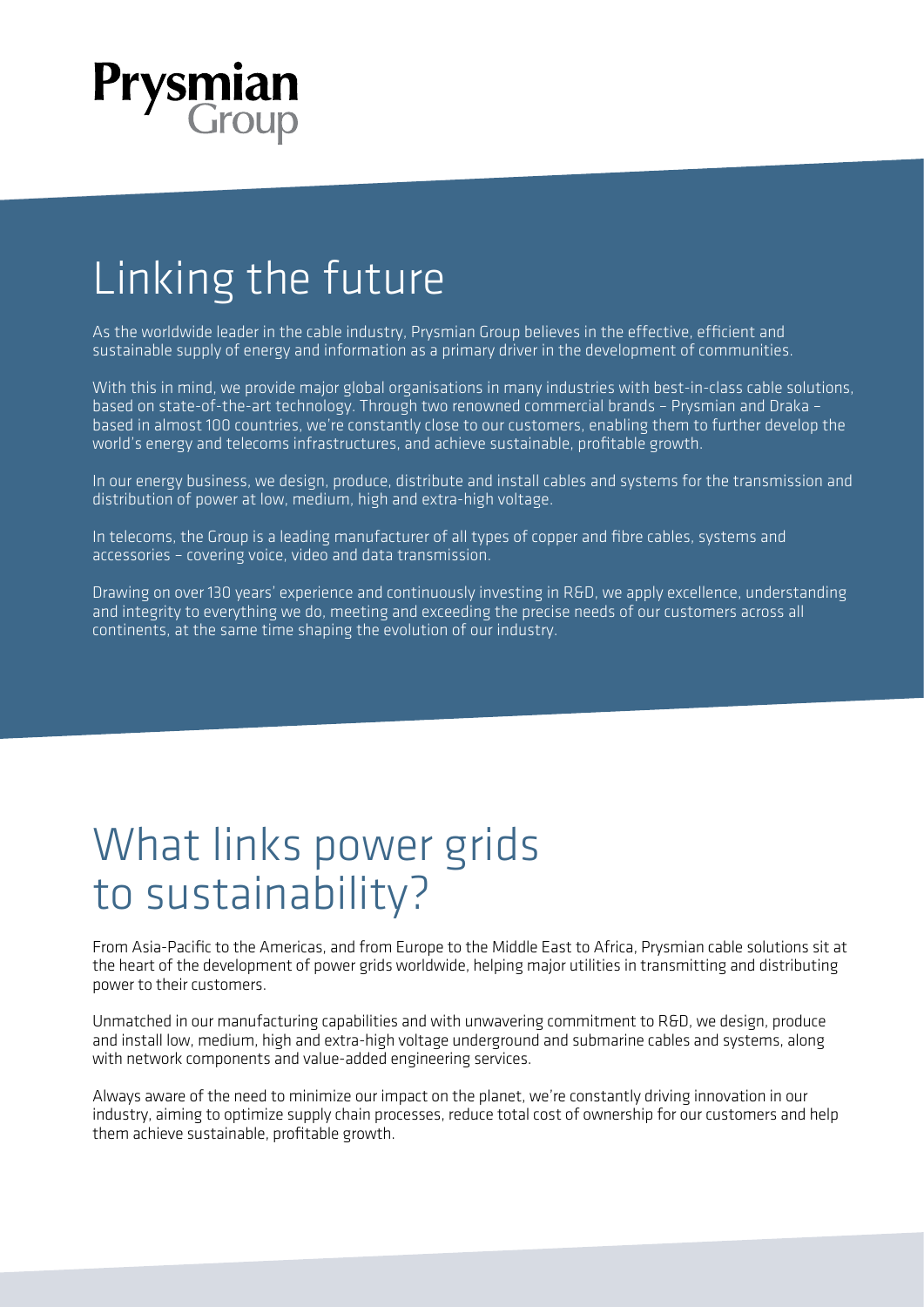

## Linking the future

As the worldwide leader in the cable industry, Prysmian Group believes in the effective, efficient and sustainable supply of energy and information as a primary driver in the development of communities.

With this in mind, we provide major global organisations in many industries with best-in-class cable solutions, based on state-of-the-art technology. Through two renowned commercial brands – Prysmian and Draka – based in almost 100 countries, we're constantly close to our customers, enabling them to further develop the world's energy and telecoms infrastructures, and achieve sustainable, profitable growth.

In our energy business, we design, produce, distribute and install cables and systems for the transmission and distribution of power at low, medium, high and extra-high voltage.

In telecoms, the Group is a leading manufacturer of all types of copper and fibre cables, systems and accessories – covering voice, video and data transmission.

Drawing on over 130 years' experience and continuously investing in R&D, we apply excellence, understanding and integrity to everything we do, meeting and exceeding the precise needs of our customers across all continents, at the same time shaping the evolution of our industry.

## What links power grids to sustainability?

From Asia-Pacific to the Americas, and from Europe to the Middle East to Africa, Prysmian cable solutions sit at the heart of the development of power grids worldwide, helping major utilities in transmitting and distributing power to their customers.

Unmatched in our manufacturing capabilities and with unwavering commitment to R&D, we design, produce and install low, medium, high and extra-high voltage underground and submarine cables and systems, along with network components and value-added engineering services.

Always aware of the need to minimize our impact on the planet, we're constantly driving innovation in our industry, aiming to optimize supply chain processes, reduce total cost of ownership for our customers and help them achieve sustainable, profitable growth.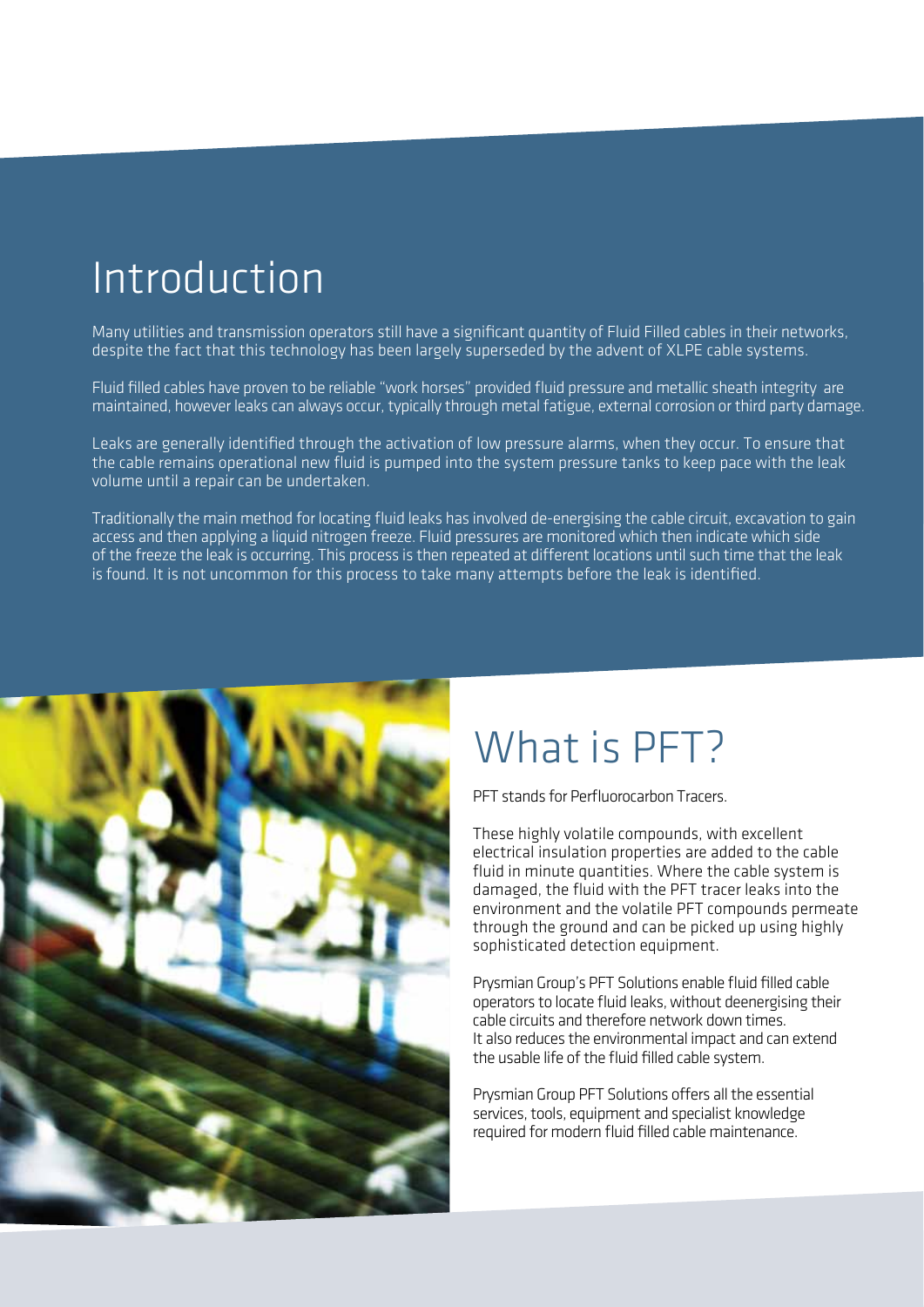## **Introduction**

Many utilities and transmission operators still have a significant quantity of Fluid Filled cables in their networks, despite the fact that this technology has been largely superseded by the advent of XLPE cable systems.

Fluid filled cables have proven to be reliable "work horses" provided fluid pressure and metallic sheath integrity are maintained, however leaks can always occur, typically through metal fatigue, external corrosion or third party damage.

Leaks are generally identified through the activation of low pressure alarms, when they occur. To ensure that the cable remains operational new fluid is pumped into the system pressure tanks to keep pace with the leak volume until a repair can be undertaken.

Traditionally the main method for locating fluid leaks has involved de-energising the cable circuit, excavation to gain access and then applying a liquid nitrogen freeze. Fluid pressures are monitored which then indicate which side of the freeze the leak is occurring. This process is then repeated at different locations until such time that the leak is found. It is not uncommon for this process to take many attempts before the leak is identified.



## What is PFT?

PFT stands for Perfluorocarbon Tracers.

These highly volatile compounds, with excellent electrical insulation properties are added to the cable fluid in minute quantities. Where the cable system is damaged, the fluid with the PFT tracer leaks into the environment and the volatile PFT compounds permeate through the ground and can be picked up using highly sophisticated detection equipment.

Prysmian Group's PFT Solutions enable fluid filled cable operators to locate fluid leaks, without deenergising their cable circuits and therefore network down times. It also reduces the environmental impact and can extend the usable life of the fluid filled cable system.

Prysmian Group PFT Solutions offers all the essential services, tools, equipment and specialist knowledge required for modern fluid filled cable maintenance.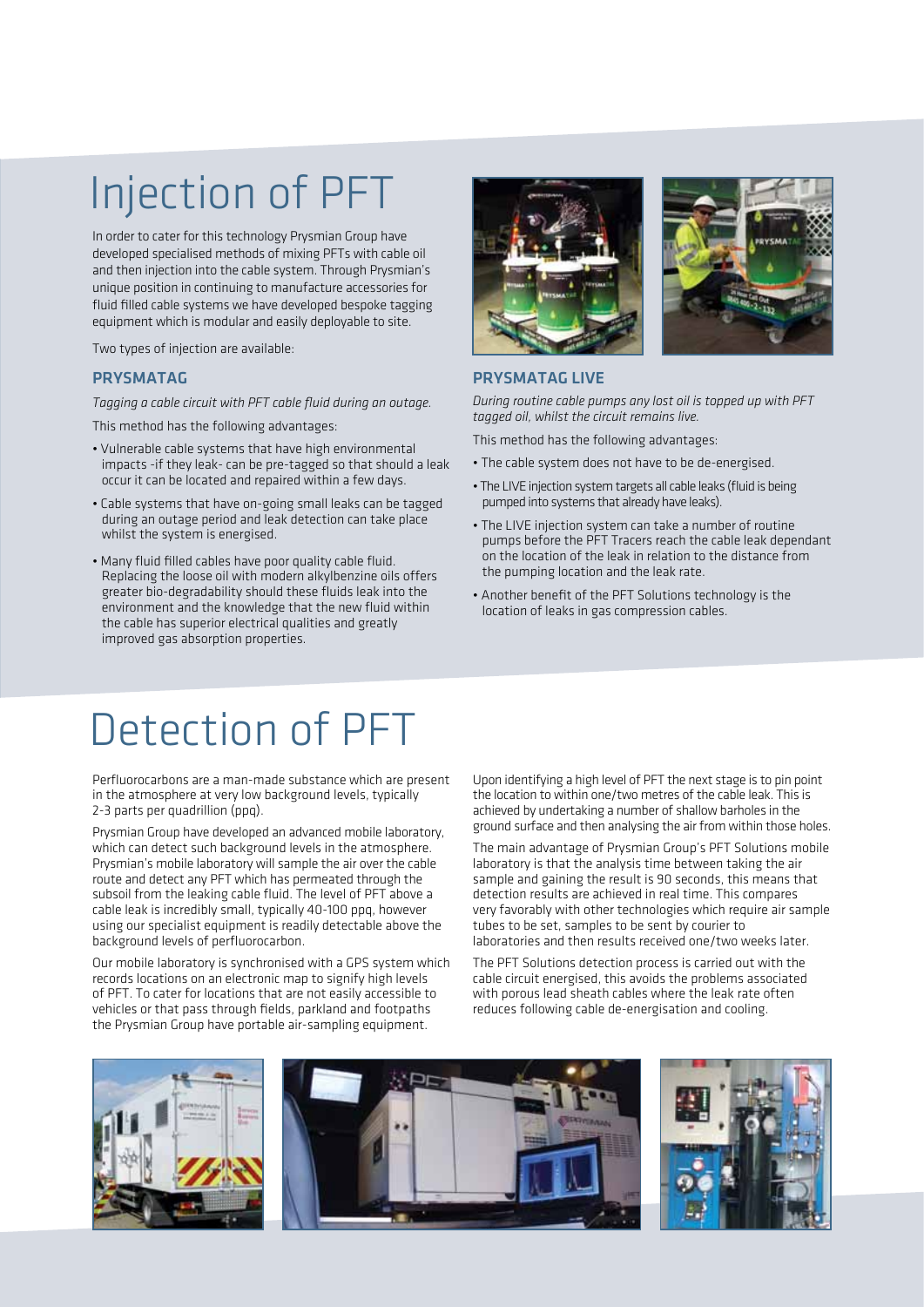# Injection of PFT

In order to cater for this technology Prysmian Group have developed specialised methods of mixing PFTs with cable oil and then injection into the cable system. Through Prysmian's unique position in continuing to manufacture accessories for fluid filled cable systems we have developed bespoke tagging equipment which is modular and easily deployable to site.

Two types of injection are available:

#### PRYSMATAG

*Tagging a cable circuit with PFT cable fluid during an outage.*

This method has the following advantages:

- Vulnerable cable systems that have high environmental impacts -if they leak- can be pre-tagged so that should a leak occur it can be located and repaired within a few days.
- Cable systems that have on-going small leaks can be tagged during an outage period and leak detection can take place whilst the system is energised.
- Many fluid filled cables have poor quality cable fluid. Replacing the loose oil with modern alkylbenzine oils offers greater bio-degradability should these fluids leak into the environment and the knowledge that the new fluid within the cable has superior electrical qualities and greatly improved gas absorption properties.





#### PRYSMATAG LIVE

*During routine cable pumps any lost oil is topped up with PFT tagged oil, whilst the circuit remains live.*

This method has the following advantages:

- The cable system does not have to be de-energised.
- The LIVE injection system targets all cable leaks (fluid is being pumped into systems that already have leaks).
- The LIVE injection system can take a number of routine pumps before the PFT Tracers reach the cable leak dependant on the location of the leak in relation to the distance from the pumping location and the leak rate.
- Another benefit of the PFT Solutions technology is the location of leaks in gas compression cables.

## Detection of PFT

Perfluorocarbons are a man-made substance which are present in the atmosphere at very low background levels, typically 2-3 parts per quadrillion (ppq).

Prysmian Group have developed an advanced mobile laboratory, which can detect such background levels in the atmosphere. Prysmian's mobile laboratory will sample the air over the cable route and detect any PFT which has permeated through the subsoil from the leaking cable fluid. The level of PFT above a cable leak is incredibly small, typically 40-100 ppq, however using our specialist equipment is readily detectable above the background levels of perfluorocarbon.

Our mobile laboratory is synchronised with a GPS system which records locations on an electronic map to signify high levels of PFT. To cater for locations that are not easily accessible to vehicles or that pass through fields, parkland and footpaths the Prysmian Group have portable air-sampling equipment.

Upon identifying a high level of PFT the next stage is to pin point the location to within one/two metres of the cable leak. This is achieved by undertaking a number of shallow barholes in the ground surface and then analysing the air from within those holes.

The main advantage of Prysmian Group's PFT Solutions mobile laboratory is that the analysis time between taking the air sample and gaining the result is 90 seconds, this means that detection results are achieved in real time. This compares very favorably with other technologies which require air sample tubes to be set, samples to be sent by courier to laboratories and then results received one/two weeks later.

The PFT Solutions detection process is carried out with the cable circuit energised, this avoids the problems associated with porous lead sheath cables where the leak rate often reduces following cable de-energisation and cooling.

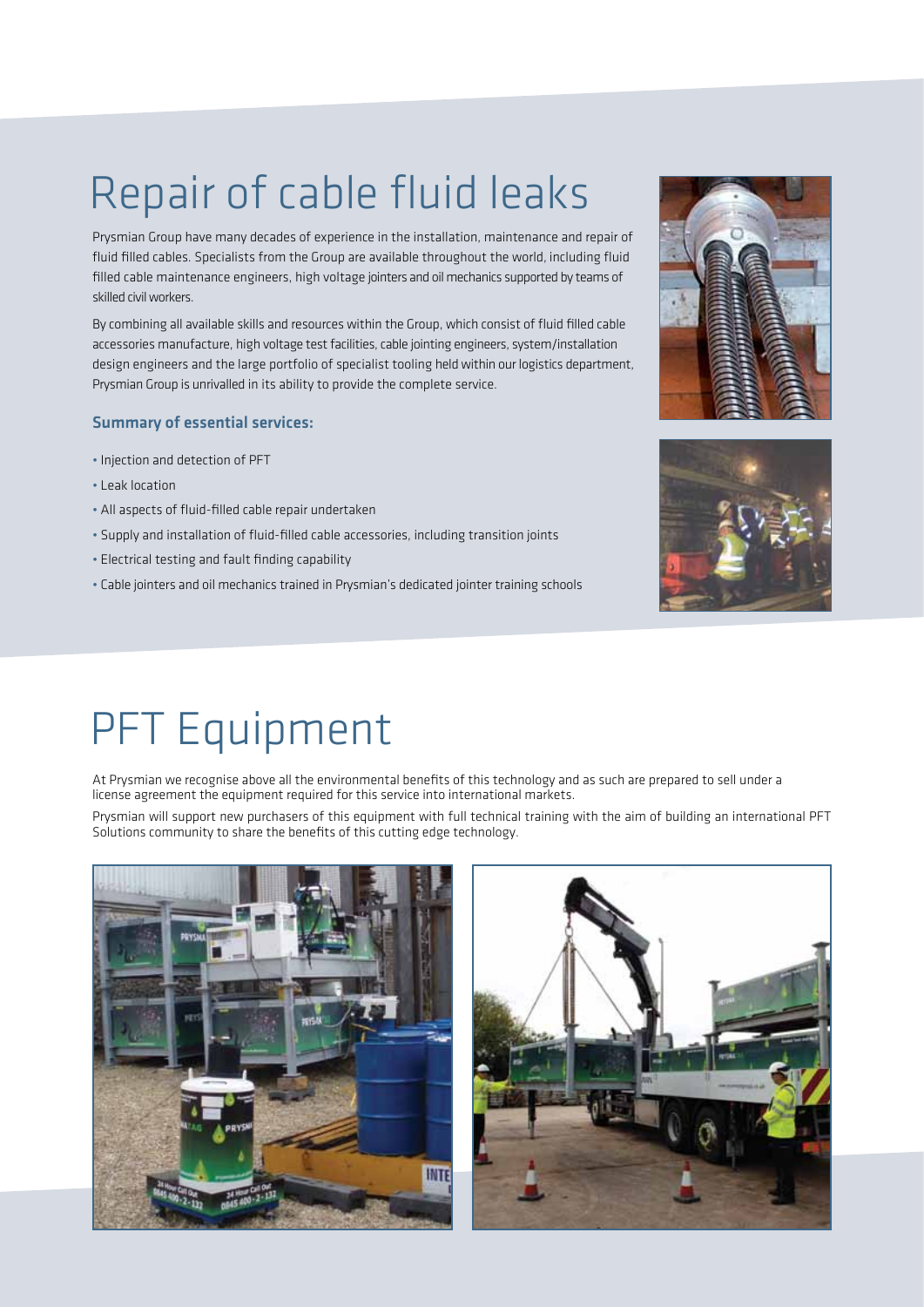# Repair of cable fluid leaks

Prysmian Group have many decades of experience in the installation, maintenance and repair of fluid filled cables. Specialists from the Group are available throughout the world, including fluid filled cable maintenance engineers, high voltage jointers and oil mechanics supported by teams of skilled civil workers.

By combining all available skills and resources within the Group, which consist of fluid filled cable accessories manufacture, high voltage test facilities, cable jointing engineers, system/installation design engineers and the large portfolio of specialist tooling held within our logistics department, Prysmian Group is unrivalled in its ability to provide the complete service.

#### Summary of essential services:

- Injection and detection of PFT
- Leak location
- All aspects of fluid-filled cable repair undertaken
- Supply and installation of fluid-filled cable accessories, including transition joints
- Electrical testing and fault finding capability
- Cable jointers and oil mechanics trained in Prysmian's dedicated jointer training schools





## PFT Equipment

At Prysmian we recognise above all the environmental benefits of this technology and as such are prepared to sell under a license agreement the equipment required for this service into international markets.

Prysmian will support new purchasers of this equipment with full technical training with the aim of building an international PFT Solutions community to share the benefits of this cutting edge technology.